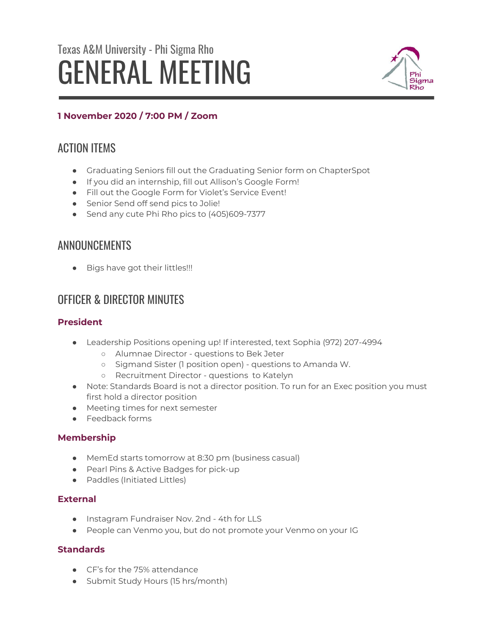# Texas A&M University - Phi Sigma Rho GENERAL MEETING



## **1 November 2020 / 7:00 PM / Zoom**

# ACTION ITEMS

- Graduating Seniors fill out the Graduating Senior form on ChapterSpot
- If you did an internship, fill out Allison's Google Form!
- Fill out the Google Form for Violet's Service Event!
- Senior Send off send pics to Jolie!
- Send any cute Phi Rho pics to (405)609-7377

# ANNOUNCEMENTS

● Bigs have got their littles!!!

# OFFICER & DIRECTOR MINUTES

## **President**

- Leadership Positions opening up! If interested, text Sophia (972) 207-4994
	- Alumnae Director questions to Bek Jeter
	- Sigmand Sister (1 position open) questions to Amanda W.
	- Recruitment Director questions to Katelyn
- Note: Standards Board is not a director position. To run for an Exec position you must first hold a director position
- Meeting times for next semester
- Feedback forms

## **Membership**

- MemEd starts tomorrow at 8:30 pm (business casual)
- Pearl Pins & Active Badges for pick-up
- Paddles (Initiated Littles)

## **External**

- Instagram Fundraiser Nov. 2nd 4th for LLS
- People can Venmo you, but do not promote your Venmo on your IG

## **Standards**

- CF's for the 75% attendance
- Submit Study Hours (15 hrs/month)